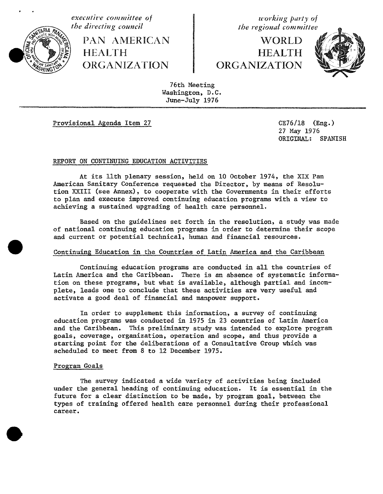

\_\_**the di,**'**ecting council the regional committee**\_v\_**L.,**\_.\_**,***%***t**\_\_l**..'**,f\_%**;**M\_t\_**'**\_\_**'..a**\_**//** PAN AMERICAN WORLD<br>HEALTH HEALTH HEALTH **in the HEALTH** ORGANIZATION ORGANIZATION

**executive** committee of  $\begin{array}{c} \text{we have} \\ \text{the } \text{div} \\ \text{the } \text{the } \text{re} \\ \text{the } \text{the } \text{re} \end{array}$ 



76th Meeting Washington, D.C. June-July 1976

Provisional Agenda Item 27 CE76**/**18 (Eng.)

27 May 1976 ORIGINAL: SPANISH

## REPORT ON CONTINUING EDUCATION ACTIVITIES

At its llth plenary session, held on 10 October 1974, the XIX Pan American Sanitary Conference requested the Director, by means of Resolution XXIII (see Annex), to cooperate with the Governments in their efforts to plan and execute improved continuing education programs with a view to achieving a sustained upgrading of health care personnel.

Based on the guidelines set forth in the resolution, a study was made of national continuing education programs in order to determine their scope and current or potential technical, human and financial resources.

# Continuing Education in the Countries of Latin America and the Caribbean

Continuing education programs are conducted in all the countries of Latin America and the Caribbean. There is an absence of systematic information on these programs, but what is available, although partial and incomplete, leads one to conclude that these activities are very useful and activate a good deal of financial and manpower support.

In order to supplement this information, a survey of continuing education programs was conducted in 1975 in 23 countries of Latin America and the Caribbean. This preliminary study was intended to explore program goals, coverage, organization, operation and scope, and thus provide a starting point for the deliberations of a Consultative Group which was scheduled to meet from 8 to 12 December 1975.

# Program Goals

The survey indicated a wide variety of activities being included under the general heading of continuing education. It is essential in the future for a clear distinction to be made, by program goal, between the types of training offered health care personnel during their professional career.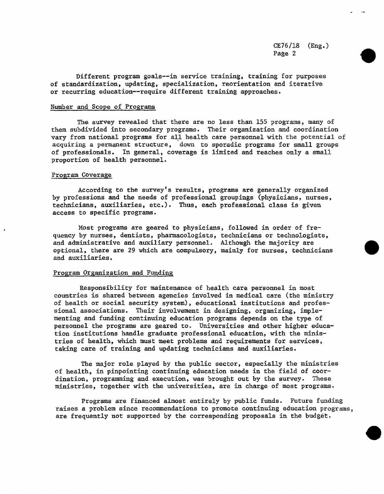CE76**/**18 (Eng.) Page 2

Different program goals--in service training, training for purposes of standardiza**t**ion, upda**t**ing, specialization, reorientation amd itera**t**ive or recurring educa**t**ion--require differen**t** training approaches.

# Number and Scope of Programs

The survey revealed that there are no less than 155 programs, many of them subdivided in**t**o secondary programs. Their organization and coordination vary from na**t**ional programs for all heal**t**h care personnel with the potential of acquiring a permanent structure, down to sporadic programs for small groups of professionals. In general, coverage is limi**t**ed and reaches only a small propor**t**ion of heal**t**h personnel.

#### Program Coverage

According **t**o **t**he survey's results, programs are generally organized by professions and the needs of professional groupings (physicians, nurses, technicians, auxiliaries, etc.). Thus, each professional class is given access to specific pr**o**grams.

Most programs are geared to physicians, followed in order of frequency by nurses, dentists, pharmacologists, technicians or **t**echnologists, and administrative and auxiliary personnel. Although **t**he majority are optional, there are 29 which are compulsory, mainly for nurses, technicians and auxiliaries.

#### Program Organization and Funding

Responsibility for main**t**enance of health care personnel in most countries is shared between agencies involved in medical care (the ministry of health or social security system), educa**t**ional ins**t**i**t**utions and professional associations. Their involvement in designing, organizing, implementing and funding con**t**inuing educa**t**ion programs depends on **t**he type of personnel the programs are geared to. Universities and o**t**her higher education institutions handle graduate professional educa**t**ion, with **t**he ministries of heal**t**h, which mus**t** mee**t** problems and requiremen**t**s for services, taking care of **t**raining and upda**t**ing tech**n**icians and auxiliaries.

The ma\_or role played by the public sector, especially **t**he minis**t**ries of health, in pinpoin**t**ing con**t**inuing education needs in the field of coordina**t**ion, programming and execution, was brought ou**t** by the survey. These ministries, together wi**t**h the universi**t**ies, are in charge of mos**t** programs.

Programs are financed almost entirely by public funds. Future funding raises a problem since recommendations **t**o promote continuing educa**t**ion programs, are frequently not supported by the corresponding proposals in the budget.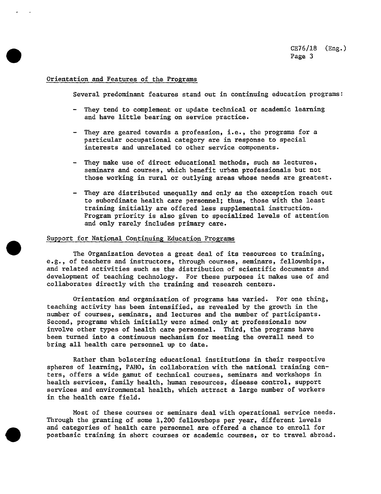## Orien**tation and Features of the Pro,rams**

Several predominan**t** features stand out in con**t**inuing education programs:

- They tend to complemen**t** or update technical or academic learning and have li**tt**le bearing on service prac**t**ice.
- They are geared towards a profession, i.e., the programs for a particular occupational ca**t**egory are in response to special in**t**erests and unrelated to o**t**her service components.
- They make use of direc**t** educational me**t**hods, such as lec**t**ures, seminars and courses, which benefit urban professionals but not those working in rural or ou**t**lying areas whose needs are greatest.
- They are dis**t**ributed unequally and only as **t**he excep**t**ion reach out to subordinate heal**t**h care personnel; **t**hus, **t**hose wi**t**h the leas**t** training initially are offered less supplemen**t**al ins**t**ruction. Program priority is also given to specialized levels of a**t**tention and only rarely includes primary care.

## Suppor**t for National Continuing Education Programs**

The Organization devo**t**es a grea**t** deal of its resources to training, e.g., of **t**eachers and instructors, **t**hrough courses, seminars, fellowships, and rela**t**ed activities such as **t**he distribu**t**ion of scientific documents and development of **t**eaching technology. For these purposes it makes use of and collaborates directly with the **t**raining and research cen**t**ers.

Orien**t**a**t**ion and organiza**t**ion of programs has varied. For one thing, teaching activi**t**y has been in**t**ensified, as revealed by the growth in the number of courses, seminars, and lectures and the number of participants. Second, programs which initially were aimed only at professionals now involve o**t**her **t**ypes of heal**t**h care personnel. Third, **t**he programs have been turned in**t**o a continuous mechanism for mee**t**ing **t**he overall need to bring all heal**t**h care personnel up **t**o da**t**e.

Ra**t**her **t**han bolstering educational institu**t**ions in their respective spheres of learning, PAHO, in collabora**t**ion with **t**he na**t**ional training centers, offers a wide gamu**t** of technical courses, seminars and workshops in health services, family health, human resources, disease control, support se**r**vices and environmen**t**al heal**t**h, which a**tt**rac**t** a large number of workers in **t**he heal**t**h care field.

Most of these courses or seminars deal with operational service needs. Through the granting of some 1,200 fellowshops per year, different levels and categories of health care personnel are offered a chance to enroll for postbasic **t**raining in short courses or academic courses, or **t**o **t**ravel abroad.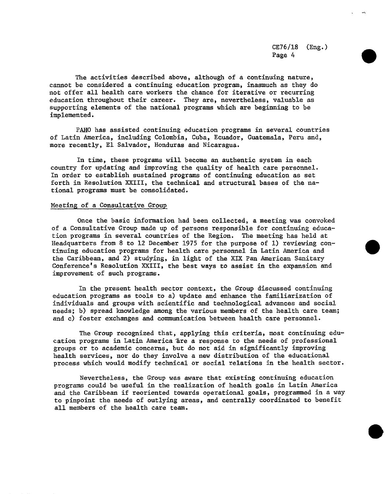CE76**/**18 (Eng.) Page 4

The activi**t**ies described above, al**t**hough of a con**t**inuing na**t**ure, cannot be considered a continuing educa**t**ion program, inasmuch as they do not offer all health care workers the chance for i**t**era**t**ive or recurring education **t**hroughout **t**heir career. They are, never**t**heless, valuable as suppor**t**ing elemen**t**s of the na**t**ional programs which are beginning to be implemen**t**ed.

PAHO has assisted c**o**n**t**inuing education programs in several countries of Latin America, including Colombia, Cuba, Ecuador, Guatemala, Peru and, more recen**t**ly, E1 Salvador, Honduras and Nicaragua.

In time, these programs will become an authen**t**ic system in each coun**t**ry for updating and improving the quality of heal**t**h care personnel. In order to es**t**ablish sustained programs of continuing education as set forth in Resolution XXIII, the technical and s**t**ruc**t**ural bases of the national programs mus**t** be consolida**t**ed.

### Mee**ti**ng of a Consulta**tive Group**

Once the basic information had been collected, a meeting was convoked of a Consulta**t**ive Group made up of persons responsible for continuing education programs in several countries of the Region. The meeting has held at Headquar**t**ers from 8 to 12 December 1975 for the purpose of 1) reviewing continuing education programs for health care personnel in Latin America and the Caribbean, and 2) studying, in ligh**t** of the XIX Pan American Sani**t**ary Conference's Resolu**t**ion XXIII, the bes**t** ways to assis**t** in the expansion and improvemen**t** of such programs.

In the present health sector context, the Group discussed con**t**inuing educa**t**ion programs as **t**ools to a) upda**t**e and enhance **t**he familiarization of individuals and groups with scientific and technological advances and social needs; b) spread knowledge among the various members of the heal**t**h care team; and c) foster exchanges and communica**t**ion be**t**ween heal**t**h care personnel.

The Group recognized that, applying this criteria, most con**t**inuing education programs in La**t**in America\_re a response to the needs of professional groups or **t**o academic concerns, bu**t** do not aid in significantly improving health services, nor do **t**hey involve a new dis**t**ribu**t**ion of the educa**t**ional process which would modify technical or social relations in **t**he heal**t**h sec**t**or.

Nevertheless, the Group was aware tha**t** existing con**t**inuing education programs could be useful in the realization of health goals in La**t**in America and the Caribbean if reorien**t**ed towards opera**t**ional goals, programmed in a way to pinpoint the needs of outlying areas, and centrally coordinated to benefit all members of the heal**t**h care team.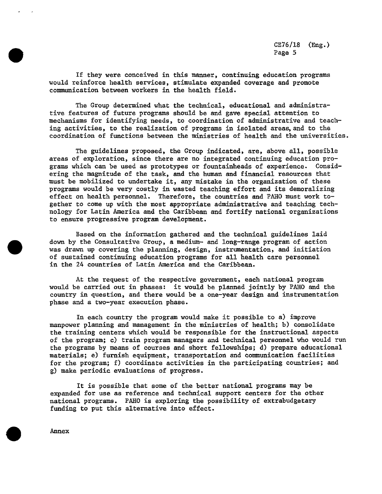CE?6**/**18 (Eng.) Page 5

If **t**hey were conceived in **t**his **m**anner, con**t**inuing educa**t**ion programs would reinforce heal**t**h services, s**t**imula**t**e expanded coverage and promo**t**e co**m**munication be**t**ween workers in **t**he heal**t**h field.

The Group determined wha**t t**he **t**echnical, educa**t**ional and administrative fea**t**ures of fu**t**ure programs should be and gave special a**tt**en**t**ion to mechanisms for iden**t**ifying needs, to coordina**t**ion of adminis**t**ra**t**ive and **t**eaching ac**t**ivities, to **t**he realization of programs in isola**t**ed areas, and **t**o the coordina**t**ion of func**t**ions be**t**ween the minis**t**ries of heal**t**h and the universities.

The guidelines proposed, **t**he Group indica**t**ed, are, above all, possible areas of explora**t**ion, since **t**here are no in**t**egra**t**ed continuing education programs which can be used as pro**t**o**t**ypes or foun**t**ainheads of experience. Considering the magni**t**ude of **t**he **t**ask, and **t**he human and financial resources tha**t** must be mobilized **t**o under**t**ake i**t**, any mis**t**ake in **t**he organiza**t**ion of these programs would be very cos**t**ly in wasted **t**eaching effor**t** and i**t**s demoralizing effec**t** on heal**t**h personnel. Therefore, **t**he coun**t**ries and PAHO mus**t** work toge**t**her to come up wi**t**h the mos**t** appropria**t**e adminis**t**ra**t**ive and **t**eaching technology for La**t**in America and **t**he Caribbean and for**t**ify na**t**ional organiza**t**ions **t**o ensure progressiv**e** program developmen**t**.

Based on **t**he informa**t**ion ga**t**hered and **t**he technical guidelines laid down by **t**he Consul**t**a**t**ive Group, a medi**u**m- and long-range program of ac**t**ion was drawn up covering **t**he planning, design, ins**t**rumenta**t**ion, and ini**t**ia**t**ion of sustained con**t**inuing educa**t**ion programs for all heal**t**h care personnel in **t**he 24 countries of La**t**in A**m**erica and **t**he Caribbean.

At the reques**t** of **t**he respec**t**ive governmen**t**, each na**t**ional program would be carried out in phases: i**t** would be planned join**t**ly by PAHO and **t**he country in ques**t**ion, and **t**here would be a one-year design and instru**m**en**t**a**t**ion phase and a **t**wo-year execution phase.

In each country **t**he program would **m**ake i**t** possible to a) improve manpower planning and managemen**t** in the minis**t**ries of heal**t**h; b) consolida**t**e the **t**raining cen**t**ers which would be responsible for **t**he ins**t**ruc**t**ional aspec**t**s of the program; c) **t**rain program managers and technical personnel who would run the programs by means of courses and shor**t** fellowships; d) prepare educa**t**ional ma**t**erials; e) furnish equipmen**t**, **t**ranspor**t**a**t**ion and co**m**munica**t**ion facilities for the program; f) coordinate activi**t**ies in **t**he participa**t**ing co**unt**ries; and g) make periodic evaluations of progress.

I**t** is possible **t**hat some of **t**he be**t**ter na**t**ional programs may be expanded for use as reference and **t**echnical suppor**t** cen**t**ers for **t**he o**t**her na**t**ional programs. PAHO is exploring **t**he possibili**t**y of extrabudge**t**ary funding **t**o pu**t t**his al**t**erna**t**ive in**t**o effec**t**.

A**n**nex